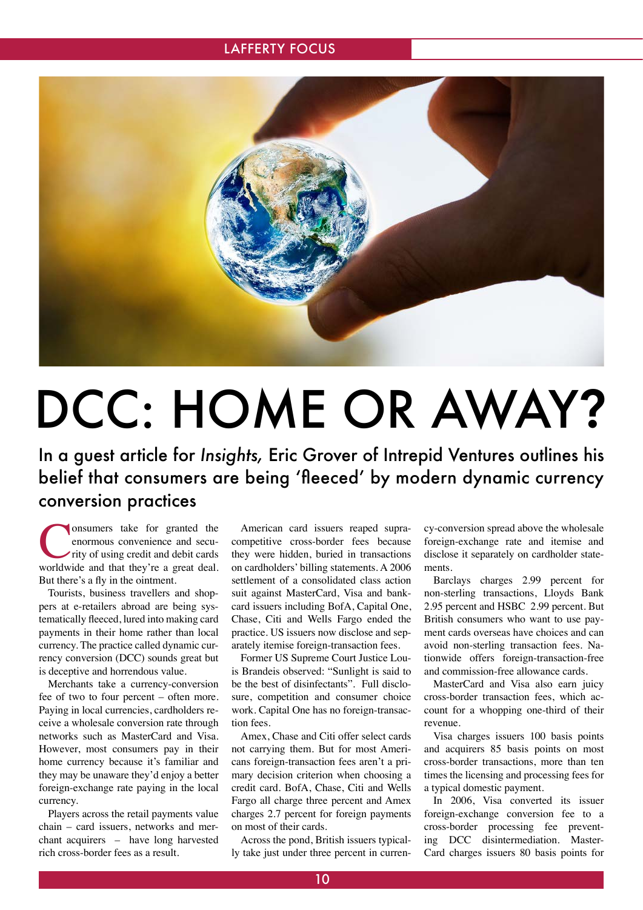## LAFFERTY FOCUS



## DCC: HOME OR AWAY?

In a guest article for *Insights,* Eric Grover of Intrepid Ventures outlines his belief that consumers are being 'fleeced' by modern dynamic currency conversion practices

**Consumers** take for granted the enormous convenience and security of using credit and debit cards worldwide and that they're a great deal. But there's a fly in the ointment.

Tourists, business travellers and shoppers at e-retailers abroad are being systematically fleeced, lured into making card payments in their home rather than local currency. The practice called dynamic currency conversion (DCC) sounds great but is deceptive and horrendous value.

Merchants take a currency-conversion fee of two to four percent – often more. Paying in local currencies, cardholders receive a wholesale conversion rate through networks such as MasterCard and Visa. However, most consumers pay in their home currency because it's familiar and they may be unaware they'd enjoy a better foreign-exchange rate paying in the local currency.

Players across the retail payments value chain – card issuers, networks and merchant acquirers – have long harvested rich cross-border fees as a result.

American card issuers reaped supracompetitive cross-border fees because they were hidden, buried in transactions on cardholders' billing statements. A 2006 settlement of a consolidated class action suit against MasterCard, Visa and bankcard issuers including BofA, Capital One, Chase, Citi and Wells Fargo ended the practice. US issuers now disclose and separately itemise foreign-transaction fees.

Former US Supreme Court Justice Louis Brandeis observed: "Sunlight is said to be the best of disinfectants". Full disclosure, competition and consumer choice work. Capital One has no foreign-transaction fees.

Amex, Chase and Citi offer select cards not carrying them. But for most Americans foreign-transaction fees aren't a primary decision criterion when choosing a credit card. BofA, Chase, Citi and Wells Fargo all charge three percent and Amex charges 2.7 percent for foreign payments on most of their cards.

Across the pond, British issuers typically take just under three percent in currency-conversion spread above the wholesale foreign-exchange rate and itemise and disclose it separately on cardholder statements.

Barclays charges 2.99 percent for non-sterling transactions, Lloyds Bank 2.95 percent and HSBC 2.99 percent. But British consumers who want to use payment cards overseas have choices and can avoid non-sterling transaction fees. Nationwide offers foreign-transaction-free and commission-free allowance cards.

MasterCard and Visa also earn juicy cross-border transaction fees, which account for a whopping one-third of their revenue.

Visa charges issuers 100 basis points and acquirers 85 basis points on most cross-border transactions, more than ten times the licensing and processing fees for a typical domestic payment.

In 2006, Visa converted its issuer foreign-exchange conversion fee to a cross-border processing fee preventing DCC disintermediation. Master-Card charges issuers 80 basis points for